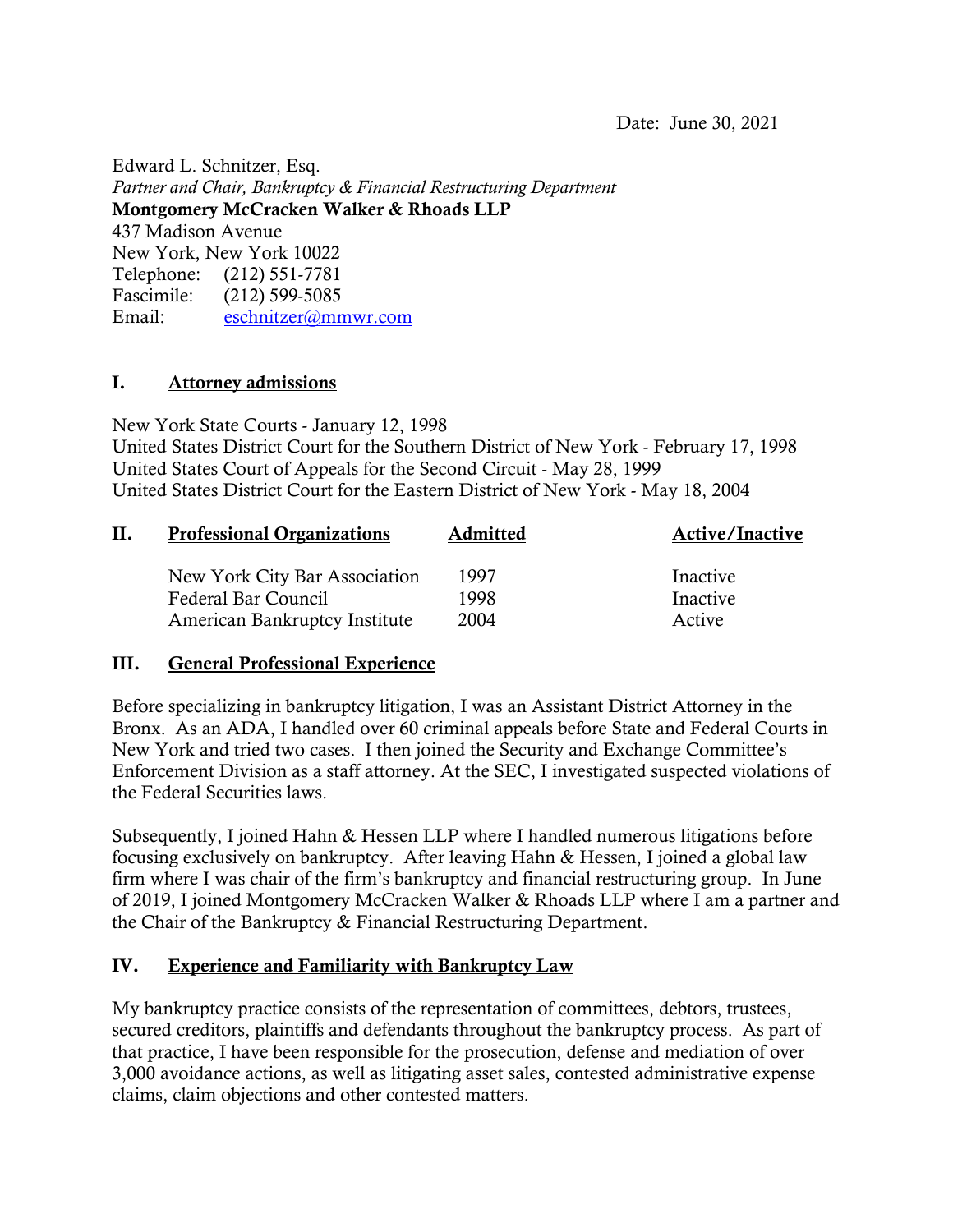Edward L. Schnitzer, Esq. *Partner and Chair, Bankruptcy & Financial Restructuring Department* **Montgomery McCracken Walker & Rhoads LLP** 437 Madison Avenue New York, New York 10022 Telephone: (212) 551-7781 Fascimile: (212) 599-5085 Email: [eschnitzer@mmwr.com](mailto:eschnitzer@mmwr.com)

### **I. Attorney admissions**

New York State Courts - January 12, 1998 United States District Court for the Southern District of New York - February 17, 1998 United States Court of Appeals for the Second Circuit - May 28, 1999 United States District Court for the Eastern District of New York - May 18, 2004

| П. | <b>Professional Organizations</b> | Admitted | <b>Active/Inactive</b> |
|----|-----------------------------------|----------|------------------------|
|    | New York City Bar Association     | 1997     | Inactive               |
|    | Federal Bar Council               | 1998     | Inactive               |
|    | American Bankruptcy Institute     | 2004     | Active                 |

### **III. General Professional Experience**

Before specializing in bankruptcy litigation, I was an Assistant District Attorney in the Bronx. As an ADA, I handled over 60 criminal appeals before State and Federal Courts in New York and tried two cases. I then joined the Security and Exchange Committee's Enforcement Division as a staff attorney. At the SEC, I investigated suspected violations of the Federal Securities laws.

Subsequently, I joined Hahn & Hessen LLP where I handled numerous litigations before focusing exclusively on bankruptcy. After leaving Hahn & Hessen, I joined a global law firm where I was chair of the firm's bankruptcy and financial restructuring group. In June of 2019, I joined Montgomery McCracken Walker & Rhoads LLP where I am a partner and the Chair of the Bankruptcy & Financial Restructuring Department.

### **IV. Experience and Familiarity with Bankruptcy Law**

My bankruptcy practice consists of the representation of committees, debtors, trustees, secured creditors, plaintiffs and defendants throughout the bankruptcy process. As part of that practice, I have been responsible for the prosecution, defense and mediation of over 3,000 avoidance actions, as well as litigating asset sales, contested administrative expense claims, claim objections and other contested matters.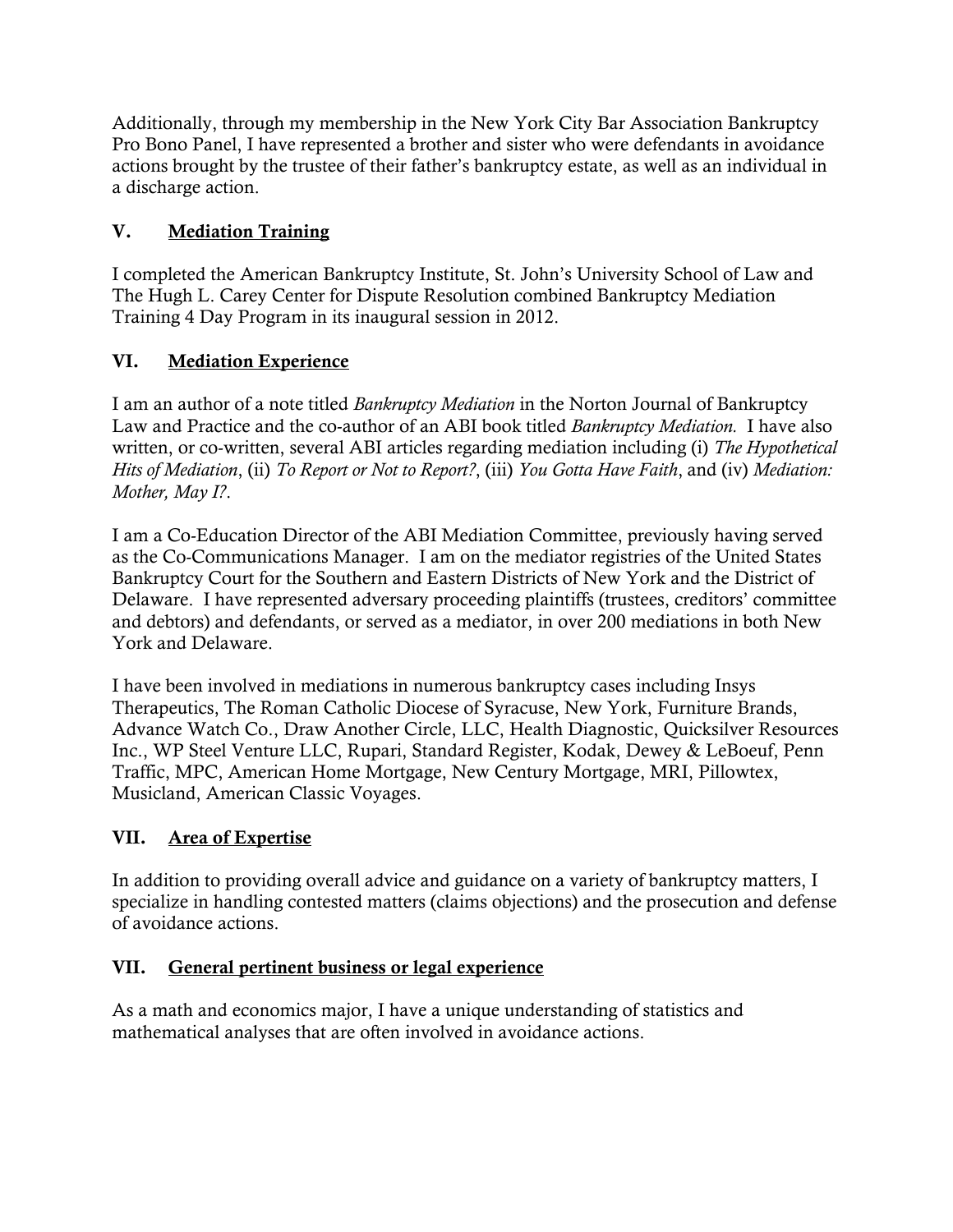Additionally, through my membership in the New York City Bar Association Bankruptcy Pro Bono Panel, I have represented a brother and sister who were defendants in avoidance actions brought by the trustee of their father's bankruptcy estate, as well as an individual in a discharge action.

## **V. Mediation Training**

I completed the American Bankruptcy Institute, St. John's University School of Law and The Hugh L. Carey Center for Dispute Resolution combined Bankruptcy Mediation Training 4 Day Program in its inaugural session in 2012.

## **VI. Mediation Experience**

I am an author of a note titled *Bankruptcy Mediation* in the Norton Journal of Bankruptcy Law and Practice and the co-author of an ABI book titled *Bankruptcy Mediation.* I have also written, or co-written, several ABI articles regarding mediation including (i) *The Hypothetical Hits of Mediation*, (ii) *To Report or Not to Report?*, (iii) *You Gotta Have Faith*, and (iv) *Mediation: Mother, May I?*.

I am a Co-Education Director of the ABI Mediation Committee, previously having served as the Co-Communications Manager. I am on the mediator registries of the United States Bankruptcy Court for the Southern and Eastern Districts of New York and the District of Delaware. I have represented adversary proceeding plaintiffs (trustees, creditors' committee and debtors) and defendants, or served as a mediator, in over 200 mediations in both New York and Delaware.

I have been involved in mediations in numerous bankruptcy cases including Insys Therapeutics, The Roman Catholic Diocese of Syracuse, New York, Furniture Brands, Advance Watch Co., Draw Another Circle, LLC, Health Diagnostic, Quicksilver Resources Inc., WP Steel Venture LLC, Rupari, Standard Register, Kodak, Dewey & LeBoeuf, Penn Traffic, MPC, American Home Mortgage, New Century Mortgage, MRI, Pillowtex, Musicland, American Classic Voyages.

# **VII. Area of Expertise**

In addition to providing overall advice and guidance on a variety of bankruptcy matters, I specialize in handling contested matters (claims objections) and the prosecution and defense of avoidance actions.

# **VII. General pertinent business or legal experience**

As a math and economics major, I have a unique understanding of statistics and mathematical analyses that are often involved in avoidance actions.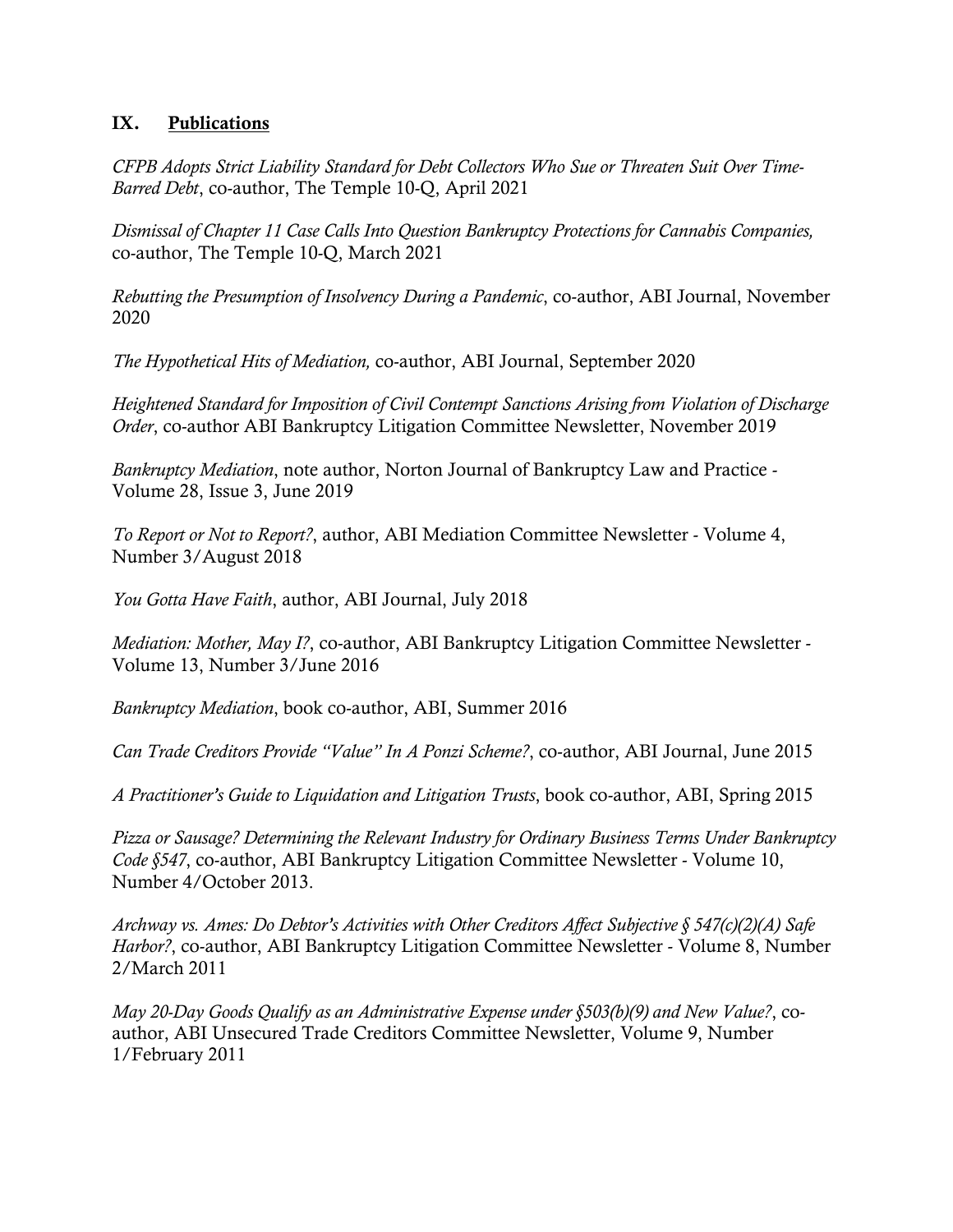#### **IX. Publications**

*CFPB Adopts Strict Liability Standard for Debt Collectors Who Sue or Threaten Suit Over Time-Barred Debt*, co-author, The Temple 10-Q, April 2021

*Dismissal of Chapter 11 Case Calls Into Question Bankruptcy Protections for Cannabis Companies,*  co-author, The Temple 10-Q, March 2021

*Rebutting the Presumption of Insolvency During a Pandemic*, co-author, ABI Journal, November 2020

*The Hypothetical Hits of Mediation,* co-author, ABI Journal, September 2020

*Heightened Standard for Imposition of Civil Contempt Sanctions Arising from Violation of Discharge Order*, co-author ABI Bankruptcy Litigation Committee Newsletter, November 2019

*Bankruptcy Mediation*, note author, Norton Journal of Bankruptcy Law and Practice - Volume 28, Issue 3, June 2019

*To Report or Not to Report?*, author, ABI Mediation Committee Newsletter - Volume 4, Number 3/August 2018

*You Gotta Have Faith*, author, ABI Journal, July 2018

*Mediation: Mother, May I?*, co-author, ABI Bankruptcy Litigation Committee Newsletter - Volume 13, Number 3/June 2016

*Bankruptcy Mediation*, book co-author, ABI, Summer 2016

*Can Trade Creditors Provide "Value" In A Ponzi Scheme?*, co-author, ABI Journal, June 2015

*A Practitioner's Guide to Liquidation and Litigation Trusts*, book co-author, ABI, Spring 2015

*Pizza or Sausage? Determining the Relevant Industry for Ordinary Business Terms Under Bankruptcy Code §547*, co-author, ABI Bankruptcy Litigation Committee Newsletter - Volume 10, Number 4/October 2013.

*Archway vs. Ames: Do Debtor's Activities with Other Creditors Affect Subjective § 547(c)(2)(A) Safe Harbor?*, co-author, ABI Bankruptcy Litigation Committee Newsletter - Volume 8, Number 2/March 2011

*May 20-Day Goods Qualify as an Administrative Expense under §503(b)(9) and New Value?*, coauthor, ABI Unsecured Trade Creditors Committee Newsletter, Volume 9, Number 1/February 2011